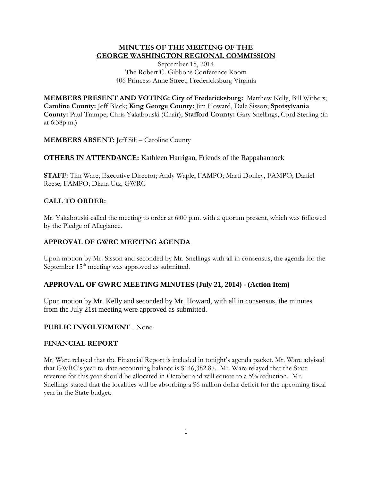### **MINUTES OF THE MEETING OF THE GEORGE WASHINGTON REGIONAL COMMISSION**

September 15, 2014 The Robert C. Gibbons Conference Room 406 Princess Anne Street, Fredericksburg Virginia

**MEMBERS PRESENT AND VOTING: City of Fredericksburg:** Matthew Kelly, Bill Withers; **Caroline County:** Jeff Black; **King George County:** Jim Howard, Dale Sisson; **Spotsylvania County:** Paul Trampe, Chris Yakabouski (Chair); **Stafford County:** Gary Snellings, Cord Sterling (in at 6:38p.m.)

**MEMBERS ABSENT:** Jeff Sili – Caroline County

# **OTHERS IN ATTENDANCE:** Kathleen Harrigan, Friends of the Rappahannock

**STAFF:** Tim Ware, Executive Director; Andy Waple, FAMPO; Marti Donley, FAMPO; Daniel Reese, FAMPO; Diana Utz, GWRC

# **CALL TO ORDER:**

Mr. Yakabouski called the meeting to order at 6:00 p.m. with a quorum present, which was followed by the Pledge of Allegiance.

### **APPROVAL OF GWRC MEETING AGENDA**

Upon motion by Mr. Sisson and seconded by Mr. Snellings with all in consensus, the agenda for the September  $15<sup>th</sup>$  meeting was approved as submitted.

# **APPROVAL OF GWRC MEETING MINUTES (July 21, 2014) - (Action Item)**

Upon motion by Mr. Kelly and seconded by Mr. Howard, with all in consensus, the minutes from the July 21st meeting were approved as submitted.

#### **PUBLIC INVOLVEMENT** - None

### **FINANCIAL REPORT**

Mr. Ware relayed that the Financial Report is included in tonight's agenda packet. Mr. Ware advised that GWRC's year-to-date accounting balance is \$146,382.87. Mr. Ware relayed that the State revenue for this year should be allocated in October and will equate to a 5% reduction. Mr. Snellings stated that the localities will be absorbing a \$6 million dollar deficit for the upcoming fiscal year in the State budget.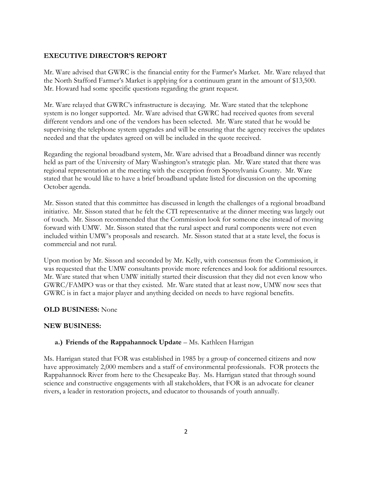### **EXECUTIVE DIRECTOR'S REPORT**

Mr. Ware advised that GWRC is the financial entity for the Farmer's Market. Mr. Ware relayed that the North Stafford Farmer's Market is applying for a continuum grant in the amount of \$13,500. Mr. Howard had some specific questions regarding the grant request.

Mr. Ware relayed that GWRC's infrastructure is decaying. Mr. Ware stated that the telephone system is no longer supported. Mr. Ware advised that GWRC had received quotes from several different vendors and one of the vendors has been selected. Mr. Ware stated that he would be supervising the telephone system upgrades and will be ensuring that the agency receives the updates needed and that the updates agreed on will be included in the quote received.

Regarding the regional broadband system, Mr. Ware advised that a Broadband dinner was recently held as part of the University of Mary Washington's strategic plan. Mr. Ware stated that there was regional representation at the meeting with the exception from Spotsylvania County. Mr. Ware stated that he would like to have a brief broadband update listed for discussion on the upcoming October agenda.

Mr. Sisson stated that this committee has discussed in length the challenges of a regional broadband initiative. Mr. Sisson stated that he felt the CTI representative at the dinner meeting was largely out of touch. Mr. Sisson recommended that the Commission look for someone else instead of moving forward with UMW. Mr. Sisson stated that the rural aspect and rural components were not even included within UMW's proposals and research. Mr. Sisson stated that at a state level, the focus is commercial and not rural.

Upon motion by Mr. Sisson and seconded by Mr. Kelly, with consensus from the Commission, it was requested that the UMW consultants provide more references and look for additional resources. Mr. Ware stated that when UMW initially started their discussion that they did not even know who GWRC/FAMPO was or that they existed. Mr. Ware stated that at least now, UMW now sees that GWRC is in fact a major player and anything decided on needs to have regional benefits.

#### **OLD BUSINESS:** None

#### **NEW BUSINESS:**

# **a.) Friends of the Rappahannock Update** – Ms. Kathleen Harrigan

Ms. Harrigan stated that FOR was established in 1985 by a group of concerned citizens and now have approximately 2,000 members and a staff of environmental professionals. FOR protects the Rappahannock River from here to the Chesapeake Bay. Ms. Harrigan stated that through sound science and constructive engagements with all stakeholders, that FOR is an advocate for cleaner rivers, a leader in restoration projects, and educator to thousands of youth annually.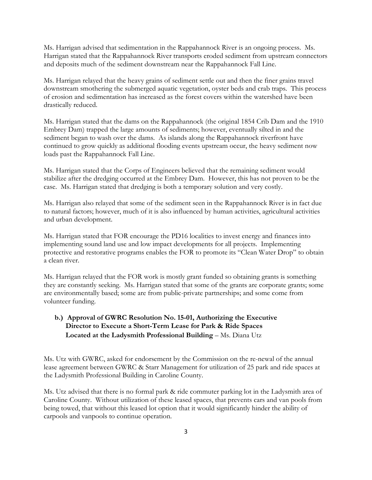Ms. Harrigan advised that sedimentation in the Rappahannock River is an ongoing process. Ms. Harrigan stated that the Rappahannock River transports eroded sediment from upstream connectors and deposits much of the sediment downstream near the Rappahannock Fall Line.

Ms. Harrigan relayed that the heavy grains of sediment settle out and then the finer grains travel downstream smothering the submerged aquatic vegetation, oyster beds and crab traps. This process of erosion and sedimentation has increased as the forest covers within the watershed have been drastically reduced.

Ms. Harrigan stated that the dams on the Rappahannock (the original 1854 Crib Dam and the 1910 Embrey Dam) trapped the large amounts of sediments; however, eventually silted in and the sediment began to wash over the dams. As islands along the Rappahannock riverfront have continued to grow quickly as additional flooding events upstream occur, the heavy sediment now loads past the Rappahannock Fall Line.

Ms. Harrigan stated that the Corps of Engineers believed that the remaining sediment would stabilize after the dredging occurred at the Embrey Dam. However, this has not proven to be the case. Ms. Harrigan stated that dredging is both a temporary solution and very costly.

Ms. Harrigan also relayed that some of the sediment seen in the Rappahannock River is in fact due to natural factors; however, much of it is also influenced by human activities, agricultural activities and urban development.

Ms. Harrigan stated that FOR encourage the PD16 localities to invest energy and finances into implementing sound land use and low impact developments for all projects. Implementing protective and restorative programs enables the FOR to promote its "Clean Water Drop" to obtain a clean river.

Ms. Harrigan relayed that the FOR work is mostly grant funded so obtaining grants is something they are constantly seeking. Ms. Harrigan stated that some of the grants are corporate grants; some are environmentally based; some are from public-private partnerships; and some come from volunteer funding.

# **b.) Approval of GWRC Resolution No. 15-01, Authorizing the Executive Director to Execute a Short-Term Lease for Park & Ride Spaces Located at the Ladysmith Professional Building - Ms. Diana Utz**

Ms. Utz with GWRC, asked for endorsement by the Commission on the re-newal of the annual lease agreement between GWRC & Starr Management for utilization of 25 park and ride spaces at the Ladysmith Professional Building in Caroline County.

Ms. Utz advised that there is no formal park & ride commuter parking lot in the Ladysmith area of Caroline County. Without utilization of these leased spaces, that prevents cars and van pools from being towed, that without this leased lot option that it would significantly hinder the ability of carpools and vanpools to continue operation.